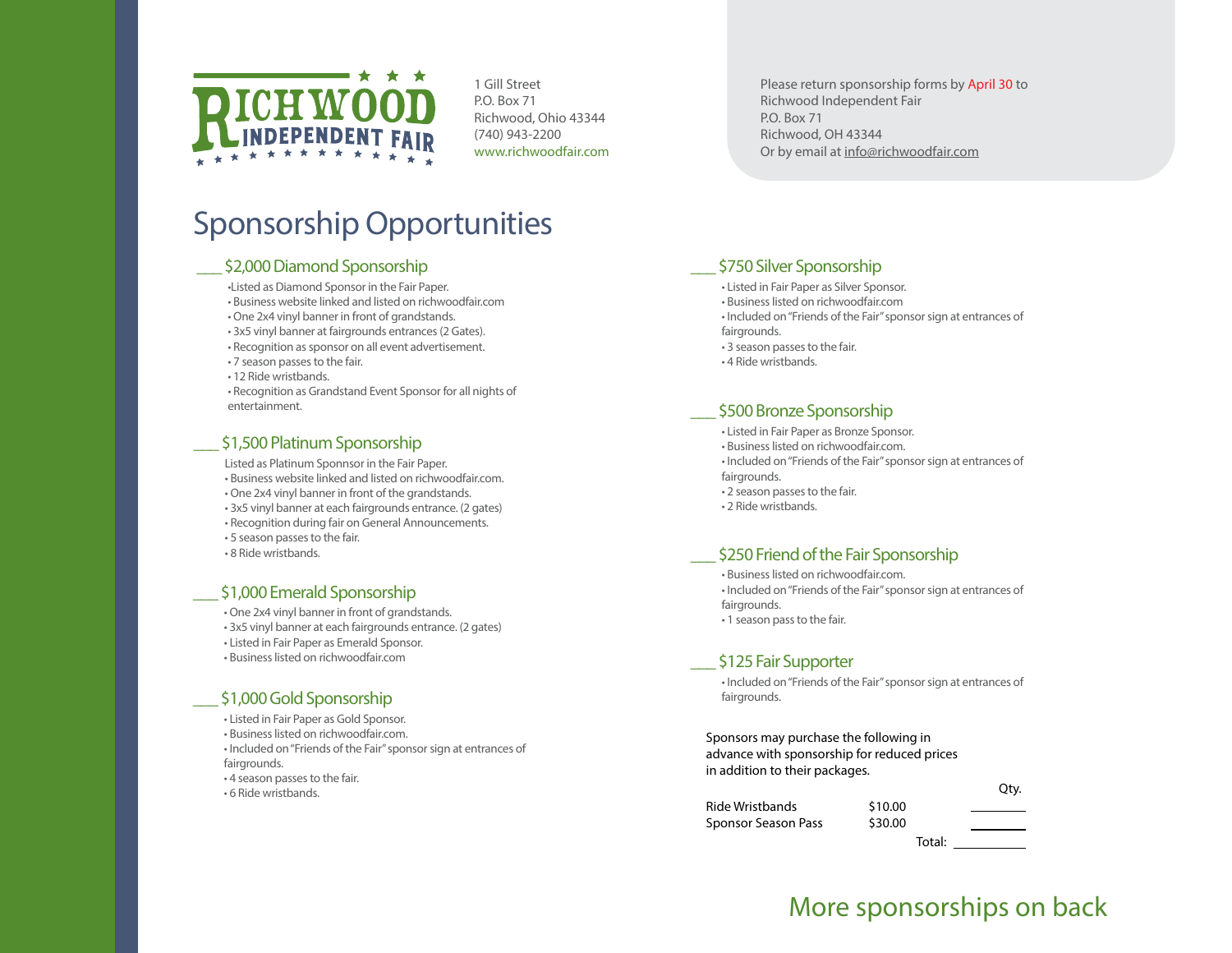

1 Gill Street P.O. Box 71 Richwood, Ohio 43344 (740) 943-2200 www.richwoodfair.com Please return sponsorship forms by April 30 to Richwood Independent Fair P.O. Box 71 Richwood, OH 43344 Or by email at info@richwoodfair.com

# Sponsorship Opportunities

#### \_\_\_ \$2,000 Diamond Sponsorship

- •Listed as Diamond Sponsor in the Fair Paper.
- Business website linked and listed on richwoodfair.com
- One 2x4 vinyl banner in front of grandstands.
- 3x5 vinyl banner at fairgrounds entrances (2 Gates).
- Recognition as sponsor on all event advertisement.
- 7 season passes to the fair.
- 12 Ride wristbands.
- Recognition as Grandstand Event Sponsor for all nights of entertainment.

#### \$1,500 Platinum Sponsorship

Listed as Platinum Sponnsor in the Fair Paper.

- Business website linked and listed on richwoodfair.com.
- One 2x4 vinyl banner in front of the grandstands.
- 3x5 vinyl banner at each fairgrounds entrance. (2 gates)
- Recognition during fair on General Announcements.
- 5 season passes to the fair.
- 8 Ride wristbands.

#### \$1,000 Emerald Sponsorship

- One 2x4 vinyl banner in front of grandstands.
- 3x5 vinyl banner at each fairgrounds entrance. (2 gates)
- Listed in Fair Paper as Emerald Sponsor.
- Business listed on richwoodfair.com

#### \$1,000 Gold Sponsorship

- Listed in Fair Paper as Gold Sponsor.
- Business listed on richwoodfair.com.
- Included on "Friends of the Fair" sponsor sign at entrances of fairgrounds.
- 4 season passes to the fair.
- 6 Ride wristbands.

#### \$750 Silver Sponsorship

- Listed in Fair Paper as Silver Sponsor.
- Business listed on richwoodfair.com
- Included on "Friends of the Fair" sponsor sign at entrances of fairgrounds.
- 3 season passes to the fair.
- 4 Ride wristbands.

#### \$500 Bronze Sponsorship

- Listed in Fair Paper as Bronze Sponsor.
- Business listed on richwoodfair.com.
- Included on "Friends of the Fair" sponsor sign at entrances of
- fairgrounds.
- 2 season passes to the fair.
- 2 Ride wristbands.

#### \$250 Friend of the Fair Sponsorship

- Business listed on richwoodfair.com.
- Included on "Friends of the Fair" sponsor sign at entrances of fairgrounds.
- 1 season pass to the fair.

#### \$125 Fair Supporter

• Included on "Friends of the Fair" sponsor sign at entrances of fairgrounds.

Sponsors may purchase the following in advance with sponsorship for reduced prices in addition to their packages.

|                     |         | . |
|---------------------|---------|---|
| Ride Wristbands     | \$10.00 |   |
| Sponsor Season Pass | \$30.00 |   |
|                     |         |   |

Total:

Qty.

## More sponsorships on back